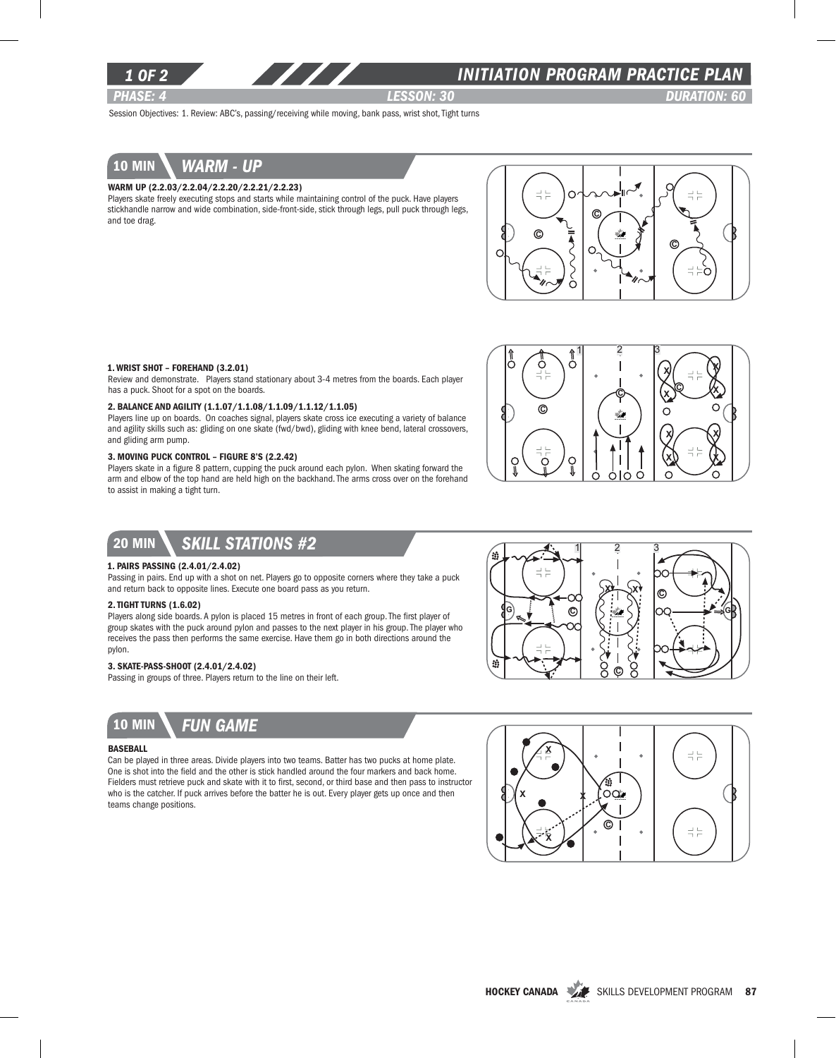

### *INITIATION program PRACTICE PLAN*

*PHASE: 4 lesson: 30 DURATION: 60* 

Session Objectives: 1. Review: ABC's, passing/receiving while moving, bank pass, wrist shot, Tight turns

# 10 min *warm - up*

### Warm up (2.2.03/2.2.04/2.2.20/2.2.21/2.2.23)

Players skate freely executing stops and starts while maintaining control of the puck. Have players stickhandle narrow and wide combination, side-front-side, stick through legs, pull puck through legs, and toe drag.



### 1. Wrist Shot – Forehand (3.2.01)

Review and demonstrate. Players stand stationary about 3-4 metres from the boards. Each player has a puck. Shoot for a spot on the boards.

### 2. Balance and Agility (1.1.07/1.1.08/1.1.09/1.1.12/1.1.05)

Players line up on boards. On coaches signal, players skate cross ice executing a variety of balance and agility skills such as: gliding on one skate (fwd/bwd), gliding with knee bend, lateral crossovers, and gliding arm pump.

### 3. Moving Puck Control – Figure 8's (2.2.42)

Players skate in a figure 8 pattern, cupping the puck around each pylon. When skating forward the arm and elbow of the top hand are held high on the backhand. The arms cross over on the forehand to assist in making a tight turn.



### 20 min *Skill stations #2*

#### 1. Pairs passing (2.4.01/2.4.02)

Passing in pairs. End up with a shot on net. Players go to opposite corners where they take a puck and return back to opposite lines. Execute one board pass as you return.

#### 2. Tight Turns (1.6.02)

Players along side boards. A pylon is placed 15 metres in front of each group. The first player of group skates with the puck around pylon and passes to the next player in his group. The player who receives the pass then performs the same exercise. Have them go in both directions around the pylon.

#### 3. Skate-Pass-Shoot (2.4.01/2.4.02)

Passing in groups of three. Players return to the line on their left.



10 min *Fun game*

#### **BASEBALL**

Can be played in three areas. Divide players into two teams. Batter has two pucks at home plate. One is shot into the field and the other is stick handled around the four markers and back home. Fielders must retrieve puck and skate with it to first, second, or third base and then pass to instructor who is the catcher. If puck arrives before the batter he is out. Every player gets up once and then teams change positions.